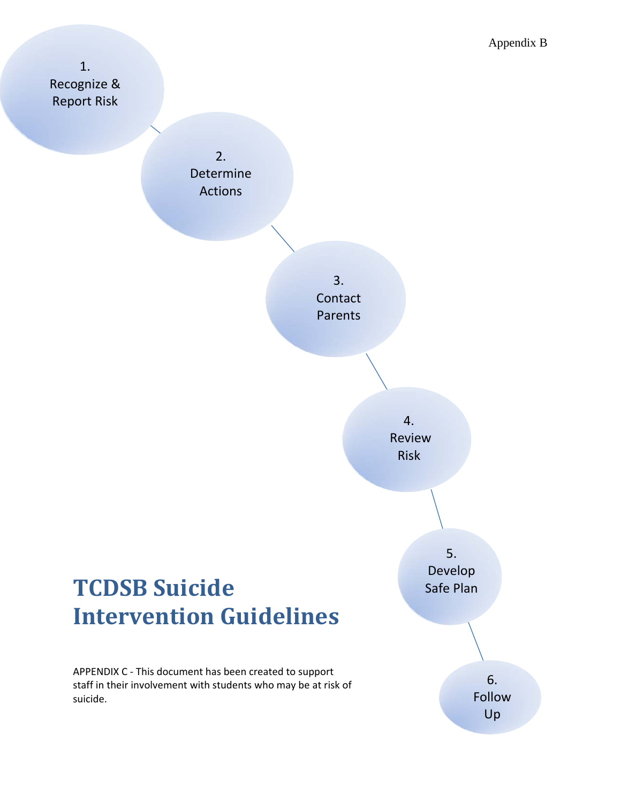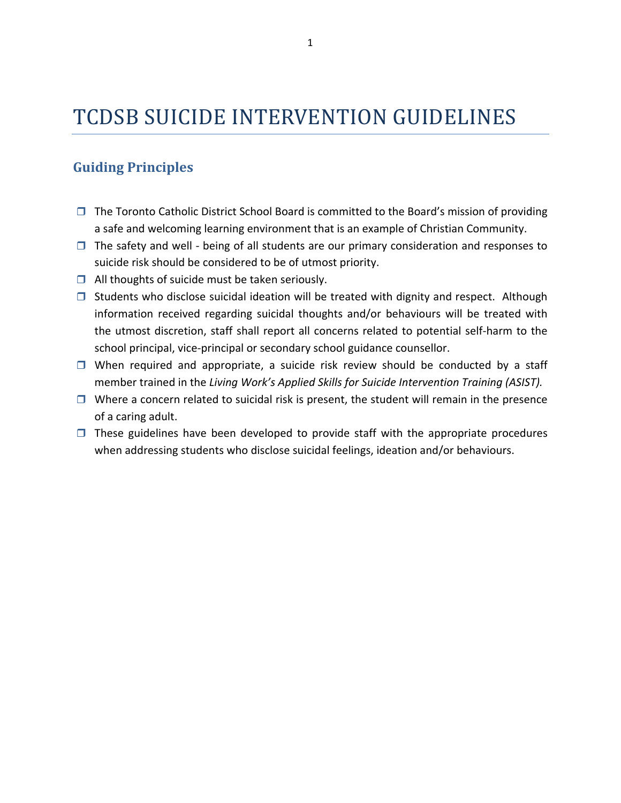# TCDSB SUICIDE INTERVENTION GUIDELINES

## **Guiding Principles**

- $\Box$  The Toronto Catholic District School Board is committed to the Board's mission of providing a safe and welcoming learning environment that is an example of Christian Community.
- $\Box$  The safety and well being of all students are our primary consideration and responses to suicide risk should be considered to be of utmost priority.
- $\Box$  All thoughts of suicide must be taken seriously.
- $\Box$  Students who disclose suicidal ideation will be treated with dignity and respect. Although information received regarding suicidal thoughts and/or behaviours will be treated with the utmost discretion, staff shall report all concerns related to potential self‐harm to the school principal, vice-principal or secondary school guidance counsellor.
- $\Box$  When required and appropriate, a suicide risk review should be conducted by a staff member trained in the *Living Work's Applied Skills for Suicide Intervention Training (ASIST).*
- $\Box$  Where a concern related to suicidal risk is present, the student will remain in the presence of a caring adult.
- $\Box$  These guidelines have been developed to provide staff with the appropriate procedures when addressing students who disclose suicidal feelings, ideation and/or behaviours.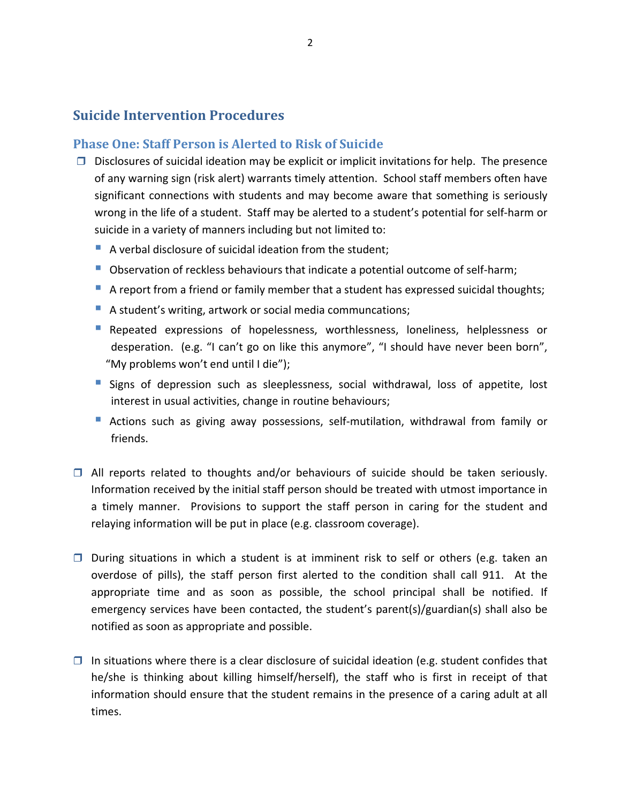### **Suicide Intervention Procedures**

### **Phase One: Staff Person is Alerted to Risk of Suicide**

- $\Box$  Disclosures of suicidal ideation may be explicit or implicit invitations for help. The presence of any warning sign (risk alert) warrants timely attention. School staff members often have significant connections with students and may become aware that something is seriously wrong in the life of a student. Staff may be alerted to a student's potential for self‐harm or suicide in a variety of manners including but not limited to:
	- A verbal disclosure of suicidal ideation from the student;
	- Observation of reckless behaviours that indicate a potential outcome of self-harm;
	- A report from a friend or family member that a student has expressed suicidal thoughts;
	- A student's writing, artwork or social media communcations;
	- Repeated expressions of hopelessness, worthlessness, loneliness, helplessness or desperation. (e.g. "I can't go on like this anymore", "I should have never been born", "My problems won't end until I die");
	- **Signs of depression such as sleeplessness, social withdrawal, loss of appetite, lost** interest in usual activities, change in routine behaviours;
	- Actions such as giving away possessions, self-mutilation, withdrawal from family or friends.
- $\Box$  All reports related to thoughts and/or behaviours of suicide should be taken seriously. Information received by the initial staff person should be treated with utmost importance in a timely manner. Provisions to support the staff person in caring for the student and relaying information will be put in place (e.g. classroom coverage).
- $\square$  During situations in which a student is at imminent risk to self or others (e.g. taken an overdose of pills), the staff person first alerted to the condition shall call 911. At the appropriate time and as soon as possible, the school principal shall be notified. If emergency services have been contacted, the student's parent(s)/guardian(s) shall also be notified as soon as appropriate and possible.
- $\Box$  In situations where there is a clear disclosure of suicidal ideation (e.g. student confides that he/she is thinking about killing himself/herself), the staff who is first in receipt of that information should ensure that the student remains in the presence of a caring adult at all times.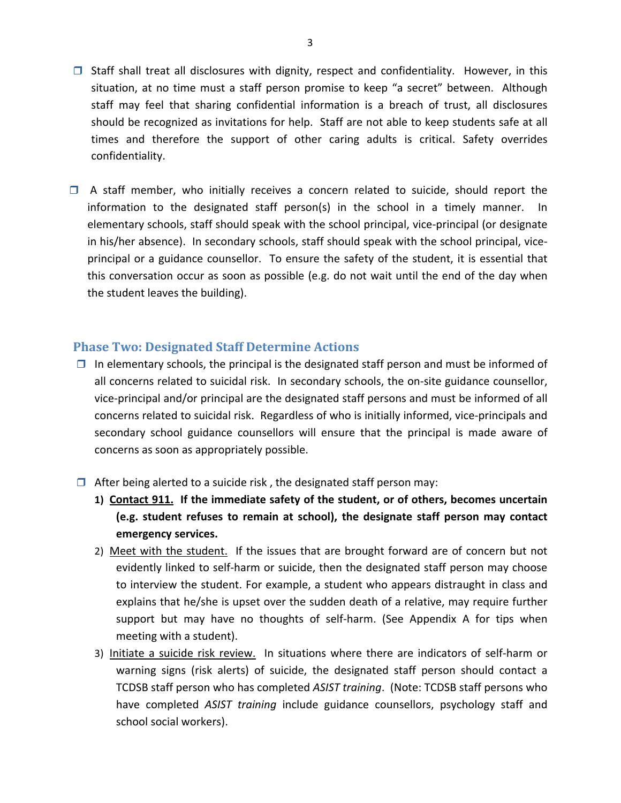- $\Box$  Staff shall treat all disclosures with dignity, respect and confidentiality. However, in this situation, at no time must a staff person promise to keep "a secret" between. Although staff may feel that sharing confidential information is a breach of trust, all disclosures should be recognized as invitations for help. Staff are not able to keep students safe at all times and therefore the support of other caring adults is critical. Safety overrides confidentiality.
- $\Box$  A staff member, who initially receives a concern related to suicide, should report the information to the designated staff person(s) in the school in a timely manner. In elementary schools, staff should speak with the school principal, vice‐principal (or designate in his/her absence). In secondary schools, staff should speak with the school principal, viceprincipal or a guidance counsellor. To ensure the safety of the student, it is essential that this conversation occur as soon as possible (e.g. do not wait until the end of the day when the student leaves the building).

### **Phase Two: Designated Staff Determine Actions**

- $\Box$  In elementary schools, the principal is the designated staff person and must be informed of all concerns related to suicidal risk. In secondary schools, the on‐site guidance counsellor, vice‐principal and/or principal are the designated staff persons and must be informed of all concerns related to suicidal risk. Regardless of who is initially informed, vice-principals and secondary school guidance counsellors will ensure that the principal is made aware of concerns as soon as appropriately possible.
- $\Box$  After being alerted to a suicide risk, the designated staff person may:
	- **1) Contact 911. If the immediate safety of the student, or of others, becomes uncertain (e.g. student refuses to remain at school), the designate staff person may contact emergency services.**
	- 2) Meet with the student. If the issues that are brought forward are of concern but not evidently linked to self-harm or suicide, then the designated staff person may choose to interview the student. For example, a student who appears distraught in class and explains that he/she is upset over the sudden death of a relative, may require further support but may have no thoughts of self-harm. (See Appendix A for tips when meeting with a student).
	- 3) Initiate a suicide risk review. In situations where there are indicators of self‐harm or warning signs (risk alerts) of suicide, the designated staff person should contact a TCDSB staff person who has completed *ASIST training*. (Note: TCDSB staff persons who have completed *ASIST training* include guidance counsellors, psychology staff and school social workers).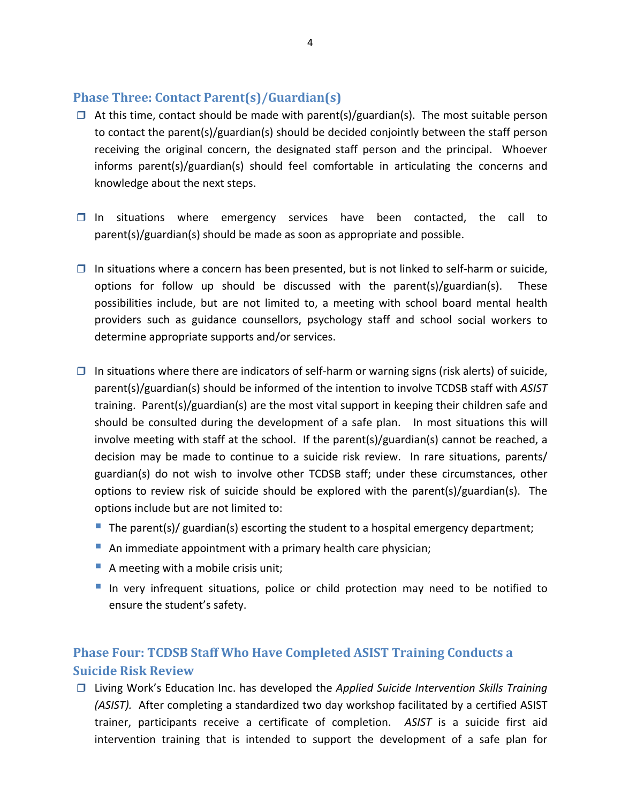### **Phase Three: Contact Parent(s)/Guardian(s)**

- $\Box$  At this time, contact should be made with parent(s)/guardian(s). The most suitable person to contact the parent(s)/guardian(s) should be decided conjointly between the staff person receiving the original concern, the designated staff person and the principal. Whoever informs parent(s)/guardian(s) should feel comfortable in articulating the concerns and knowledge about the next steps.
- $\Box$  In situations where emergency services have been contacted, the call to parent(s)/guardian(s) should be made as soon as appropriate and possible.
- $\Box$  In situations where a concern has been presented, but is not linked to self-harm or suicide, options for follow up should be discussed with the parent(s)/guardian(s). These possibilities include, but are not limited to, a meeting with school board mental health providers such as guidance counsellors, psychology staff and school social workers to determine appropriate supports and/or services.
- $\Box$  In situations where there are indicators of self-harm or warning signs (risk alerts) of suicide, parent(s)/guardian(s) should be informed of the intention to involve TCDSB staff with *ASIST* training. Parent(s)/guardian(s) are the most vital support in keeping their children safe and should be consulted during the development of a safe plan. In most situations this will involve meeting with staff at the school. If the parent(s)/guardian(s) cannot be reached, a decision may be made to continue to a suicide risk review. In rare situations, parents/ guardian(s) do not wish to involve other TCDSB staff; under these circumstances, other options to review risk of suicide should be explored with the parent(s)/guardian(s). The options include but are not limited to:
	- The parent(s)/ guardian(s) escorting the student to a hospital emergency department;
	- An immediate appointment with a primary health care physician;
	- A meeting with a mobile crisis unit;
	- In very infrequent situations, police or child protection may need to be notified to ensure the student's safety.

# **Phase Four: TCDSB Staff Who Have Completed ASIST Training Conducts a Suicide Risk Review**

 Living Work's Education Inc. has developed the *Applied Suicide Intervention Skills Training (ASIST).* After completing a standardized two day workshop facilitated by a certified ASIST trainer, participants receive a certificate of completion. *ASIST* is a suicide first aid intervention training that is intended to support the development of a safe plan for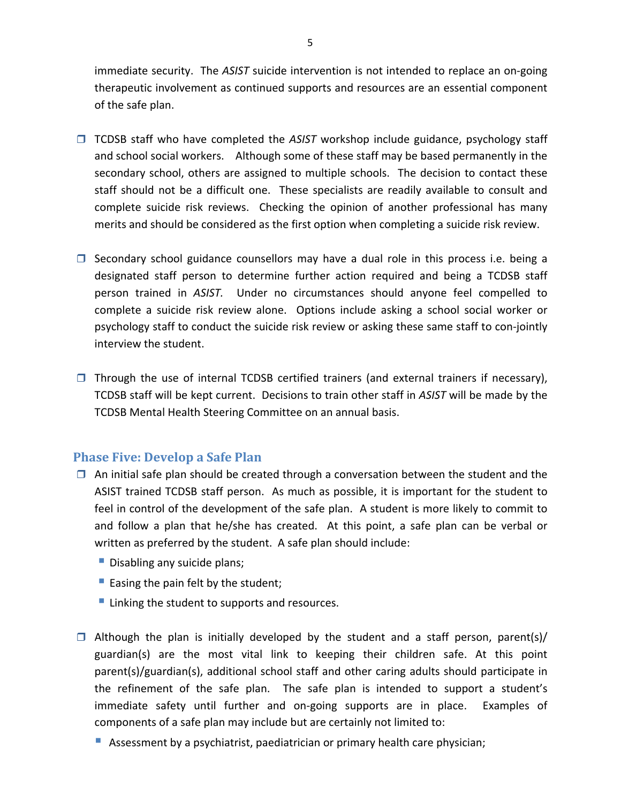immediate security. The *ASIST* suicide intervention is not intended to replace an on‐going therapeutic involvement as continued supports and resources are an essential component of the safe plan.

- □ TCDSB staff who have completed the ASIST workshop include guidance, psychology staff and school social workers. Although some of these staff may be based permanently in the secondary school, others are assigned to multiple schools. The decision to contact these staff should not be a difficult one. These specialists are readily available to consult and complete suicide risk reviews. Checking the opinion of another professional has many merits and should be considered as the first option when completing a suicide risk review.
- $\square$  Secondary school guidance counsellors may have a dual role in this process i.e. being a designated staff person to determine further action required and being a TCDSB staff person trained in *ASIST.* Under no circumstances should anyone feel compelled to complete a suicide risk review alone. Options include asking a school social worker or psychology staff to conduct the suicide risk review or asking these same staff to con‐jointly interview the student.
- $\Box$  Through the use of internal TCDSB certified trainers (and external trainers if necessary), TCDSB staff will be kept current. Decisions to train other staff in *ASIST* will be made by the TCDSB Mental Health Steering Committee on an annual basis.

### **Phase Five: Develop a Safe Plan**

- $\Box$  An initial safe plan should be created through a conversation between the student and the ASIST trained TCDSB staff person. As much as possible, it is important for the student to feel in control of the development of the safe plan. A student is more likely to commit to and follow a plan that he/she has created. At this point, a safe plan can be verbal or written as preferred by the student. A safe plan should include:
	- Disabling any suicide plans;
	- Easing the pain felt by the student;
	- **Linking the student to supports and resources.**
- $\Box$  Although the plan is initially developed by the student and a staff person, parent(s)/ guardian(s) are the most vital link to keeping their children safe. At this point parent(s)/guardian(s), additional school staff and other caring adults should participate in the refinement of the safe plan. The safe plan is intended to support a student's immediate safety until further and on-going supports are in place. Examples of components of a safe plan may include but are certainly not limited to:
	- Assessment by a psychiatrist, paediatrician or primary health care physician;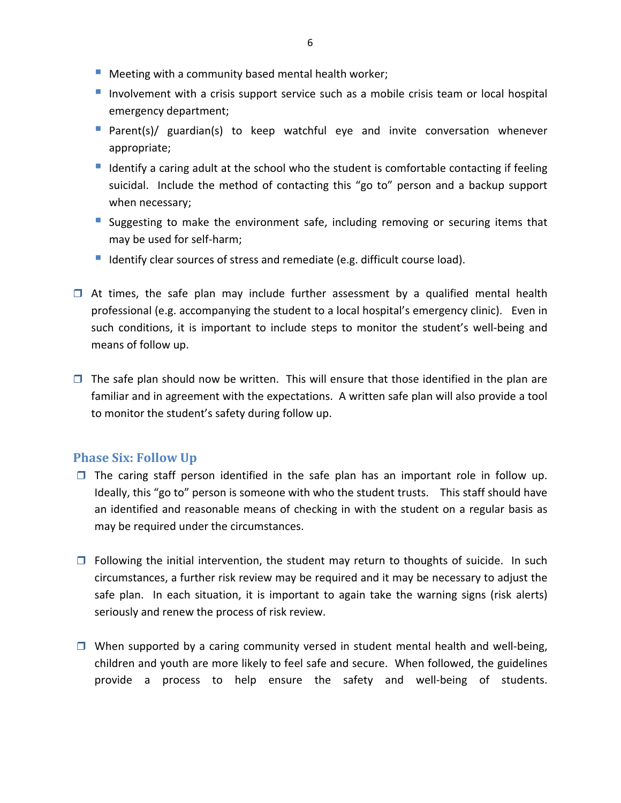- **Meeting with a community based mental health worker;**
- Involvement with a crisis support service such as a mobile crisis team or local hospital emergency department;
- Parent(s)/ guardian(s) to keep watchful eye and invite conversation whenever appropriate;
- I dentify a caring adult at the school who the student is comfortable contacting if feeling suicidal. Include the method of contacting this "go to" person and a backup support when necessary;
- **Suggesting to make the environment safe, including removing or securing items that** may be used for self‐harm;
- I Identify clear sources of stress and remediate (e.g. difficult course load).
- $\Box$  At times, the safe plan may include further assessment by a qualified mental health professional (e.g. accompanying the student to a local hospital's emergency clinic). Even in such conditions, it is important to include steps to monitor the student's well‐being and means of follow up.
- $\Box$  The safe plan should now be written. This will ensure that those identified in the plan are familiar and in agreement with the expectations. A written safe plan will also provide a tool to monitor the student's safety during follow up.

#### **Phase Six: Follow Up**

- $\Box$  The caring staff person identified in the safe plan has an important role in follow up. Ideally, this "go to" person is someone with who the student trusts. This staff should have an identified and reasonable means of checking in with the student on a regular basis as may be required under the circumstances.
- $\Box$  Following the initial intervention, the student may return to thoughts of suicide. In such circumstances, a further risk review may be required and it may be necessary to adjust the safe plan. In each situation, it is important to again take the warning signs (risk alerts) seriously and renew the process of risk review.
- $\Box$  When supported by a caring community versed in student mental health and well-being, children and youth are more likely to feel safe and secure. When followed, the guidelines provide a process to help ensure the safety and well‐being of students.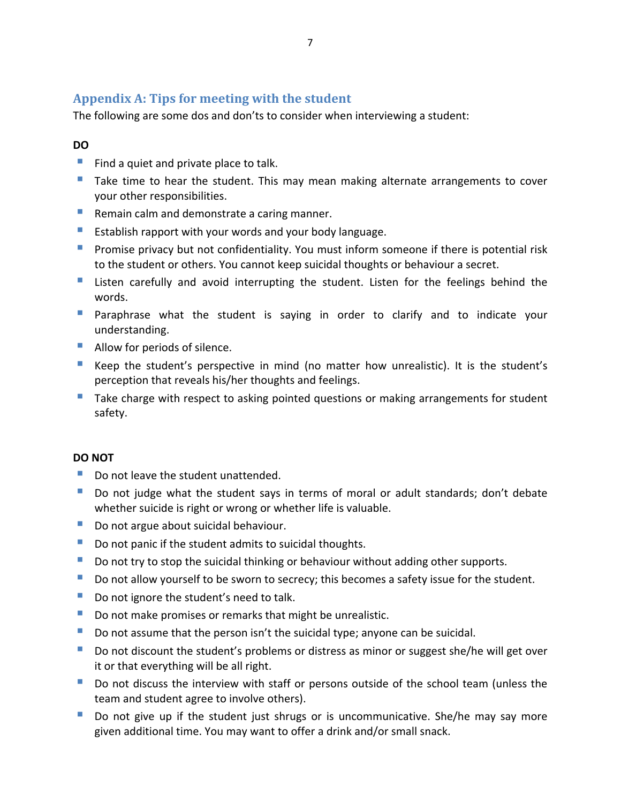### **Appendix A: Tips for meeting with the student**

The following are some dos and don'ts to consider when interviewing a student:

#### **DO**

- Find a quiet and private place to talk.
- Take time to hear the student. This may mean making alternate arrangements to cover your other responsibilities.
- Remain calm and demonstrate a caring manner.
- **Establish rapport with your words and your body language.**
- **Promise privacy but not confidentiality. You must inform someone if there is potential risk** to the student or others. You cannot keep suicidal thoughts or behaviour a secret.
- **Listen carefully and avoid interrupting the student. Listen for the feelings behind the** words.
- **Paraphrase what the student is saying in order to clarify and to indicate your** understanding.
- Allow for periods of silence.
- Keep the student's perspective in mind (no matter how unrealistic). It is the student's perception that reveals his/her thoughts and feelings.
- Take charge with respect to asking pointed questions or making arrangements for student safety.

#### **DO NOT**

- Do not leave the student unattended.
- Do not judge what the student says in terms of moral or adult standards; don't debate whether suicide is right or wrong or whether life is valuable.
- Do not argue about suicidal behaviour.
- Do not panic if the student admits to suicidal thoughts.
- Do not try to stop the suicidal thinking or behaviour without adding other supports.
- Do not allow yourself to be sworn to secrecy; this becomes a safety issue for the student.
- Do not ignore the student's need to talk.
- Do not make promises or remarks that might be unrealistic.
- Do not assume that the person isn't the suicidal type; anyone can be suicidal.
- Do not discount the student's problems or distress as minor or suggest she/he will get over it or that everything will be all right.
- Do not discuss the interview with staff or persons outside of the school team (unless the team and student agree to involve others).
- Do not give up if the student just shrugs or is uncommunicative. She/he may say more given additional time. You may want to offer a drink and/or small snack.